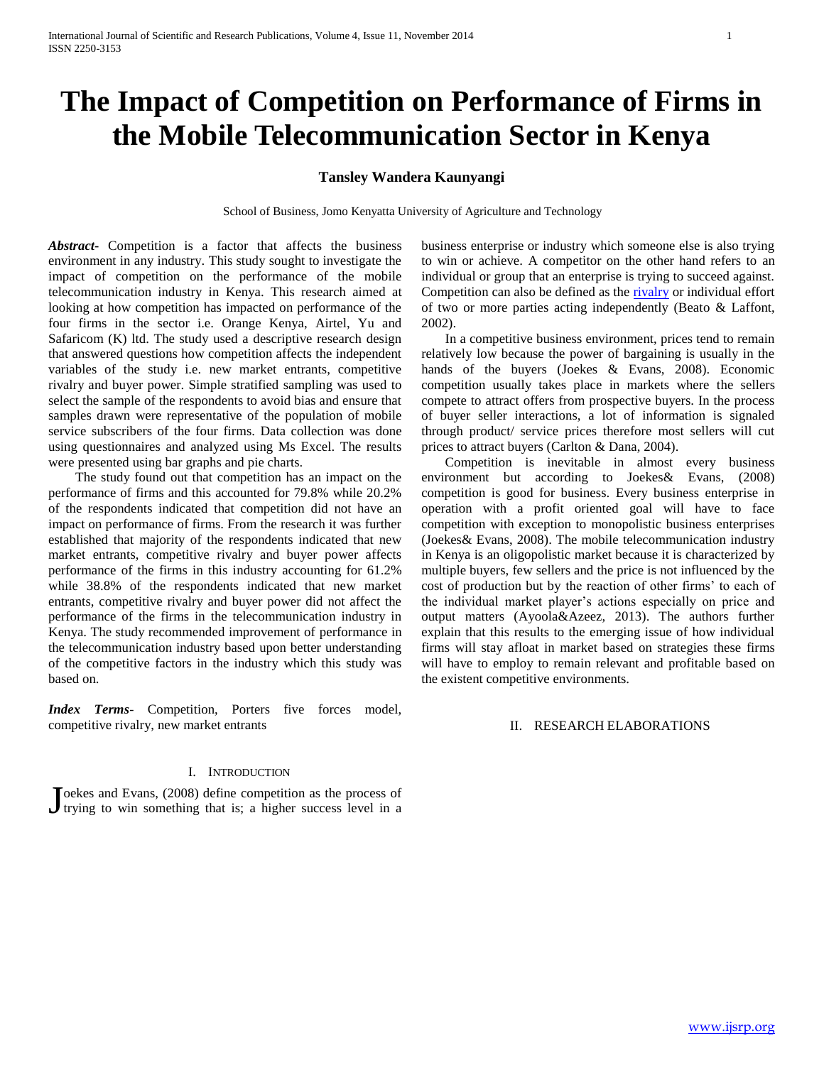# **The Impact of Competition on Performance of Firms in the Mobile Telecommunication Sector in Kenya**

## **Tansley Wandera Kaunyangi**

School of Business, Jomo Kenyatta University of Agriculture and Technology

*Abstract***-** Competition is a factor that affects the business environment in any industry. This study sought to investigate the impact of competition on the performance of the mobile telecommunication industry in Kenya. This research aimed at looking at how competition has impacted on performance of the four firms in the sector i.e. Orange Kenya, Airtel, Yu and Safaricom (K) ltd. The study used a descriptive research design that answered questions how competition affects the independent variables of the study i.e. new market entrants, competitive rivalry and buyer power. Simple stratified sampling was used to select the sample of the respondents to avoid bias and ensure that samples drawn were representative of the population of mobile service subscribers of the four firms. Data collection was done using questionnaires and analyzed using Ms Excel. The results were presented using bar graphs and pie charts.

 The study found out that competition has an impact on the performance of firms and this accounted for 79.8% while 20.2% of the respondents indicated that competition did not have an impact on performance of firms. From the research it was further established that majority of the respondents indicated that new market entrants, competitive rivalry and buyer power affects performance of the firms in this industry accounting for 61.2% while 38.8% of the respondents indicated that new market entrants, competitive rivalry and buyer power did not affect the performance of the firms in the telecommunication industry in Kenya. The study recommended improvement of performance in the telecommunication industry based upon better understanding of the competitive factors in the industry which this study was based on.

*Index Terms*- Competition, Porters five forces model, competitive rivalry, new market entrants

## I. INTRODUCTION

Toekes and Evans, (2008) define competition as the process of Joekes and Evans,  $(2008)$  define competition as the process of trying to win something that is; a higher success level in a business enterprise or industry which someone else is also trying to win or achieve. A competitor on the other hand refers to an individual or group that an enterprise is trying to succeed against. Competition can also be defined as th[e rivalry](http://www.merriam-webster.com/dictionary/rivalry) or individual effort of two or more parties acting independently (Beato & Laffont, 2002).

 In a competitive business environment, prices tend to remain relatively low because the power of bargaining is usually in the hands of the buyers (Joekes & Evans, 2008). Economic competition usually takes place in markets where the sellers compete to attract offers from prospective buyers. In the process of buyer seller interactions, a lot of information is signaled through product/ service prices therefore most sellers will cut prices to attract buyers (Carlton & Dana, 2004).

 Competition is inevitable in almost every business environment but according to Joekes& Evans, (2008) competition is good for business. Every business enterprise in operation with a profit oriented goal will have to face competition with exception to monopolistic business enterprises (Joekes& Evans, 2008). The mobile telecommunication industry in Kenya is an oligopolistic market because it is characterized by multiple buyers, few sellers and the price is not influenced by the cost of production but by the reaction of other firms' to each of the individual market player's actions especially on price and output matters (Ayoola&Azeez, 2013). The authors further explain that this results to the emerging issue of how individual firms will stay afloat in market based on strategies these firms will have to employ to remain relevant and profitable based on the existent competitive environments.

# II. RESEARCH ELABORATIONS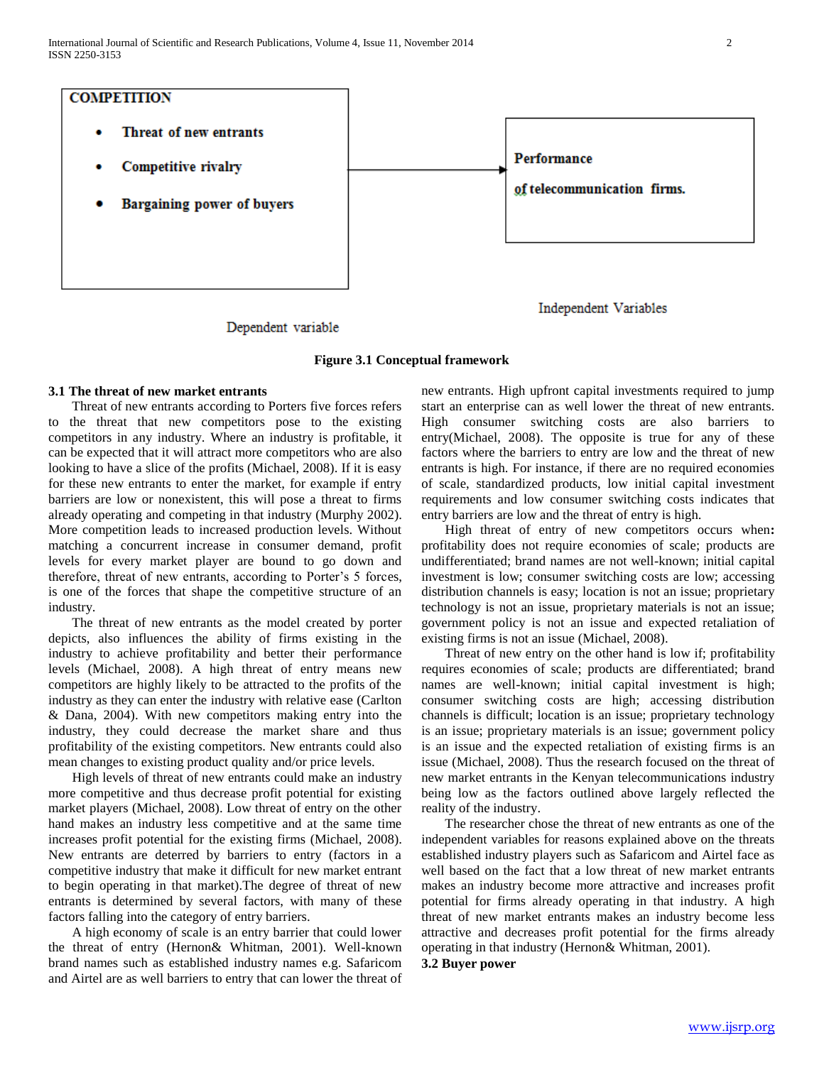

Dependent variable

## **Figure 3.1 Conceptual framework**

# **3.1 The threat of new market entrants**

 Threat of new entrants according to Porters five forces refers to the threat that new competitors pose to the existing competitors in any industry. Where an industry is profitable, it can be expected that it will attract more competitors who are also looking to have a slice of the profits (Michael, 2008). If it is easy for these new entrants to enter the market, for example if entry barriers are low or nonexistent, this will pose a threat to firms already operating and competing in that industry (Murphy 2002). More competition leads to increased production levels. Without matching a concurrent increase in consumer demand, profit levels for every market player are bound to go down and therefore, threat of new entrants, according to Porter's 5 forces, is one of the forces that shape the competitive structure of an industry.

 The threat of new entrants as the model created by porter depicts, also influences the ability of firms existing in the industry to achieve profitability and better their performance levels (Michael, 2008). A high threat of entry means new competitors are highly likely to be attracted to the profits of the industry as they can enter the industry with relative ease (Carlton & Dana, 2004). With new competitors making entry into the industry, they could decrease the market share and thus profitability of the existing competitors. New entrants could also mean changes to existing product quality and/or price levels.

 High levels of threat of new entrants could make an industry more competitive and thus decrease profit potential for existing market players (Michael, 2008). Low threat of entry on the other hand makes an industry less competitive and at the same time increases profit potential for the existing firms (Michael, 2008). New entrants are deterred by barriers to entry (factors in a competitive industry that make it difficult for new market entrant to begin operating in that market).The degree of threat of new entrants is determined by several factors, with many of these factors falling into the category of entry barriers.

 A high economy of scale is an entry barrier that could lower the threat of entry (Hernon& Whitman, 2001). Well-known brand names such as established industry names e.g. Safaricom and Airtel are as well barriers to entry that can lower the threat of new entrants. High upfront capital investments required to jump start an enterprise can as well lower the threat of new entrants. High consumer switching costs are also barriers to entry(Michael, 2008). The opposite is true for any of these factors where the barriers to entry are low and the threat of new entrants is high. For instance, if there are no required economies of scale, standardized products, low initial capital investment requirements and low consumer switching costs indicates that entry barriers are low and the threat of entry is high.

 High threat of entry of new competitors occurs when**:**  profitability does not require economies of scale; products are undifferentiated; brand names are not well-known; initial capital investment is low; consumer switching costs are low; accessing distribution channels is easy; location is not an issue; proprietary technology is not an issue, proprietary materials is not an issue; government policy is not an issue and expected retaliation of existing firms is not an issue (Michael, 2008).

 Threat of new entry on the other hand is low if; profitability requires economies of scale; products are differentiated; brand names are well-known; initial capital investment is high; consumer switching costs are high; accessing distribution channels is difficult; location is an issue; proprietary technology is an issue; proprietary materials is an issue; government policy is an issue and the expected retaliation of existing firms is an issue (Michael, 2008). Thus the research focused on the threat of new market entrants in the Kenyan telecommunications industry being low as the factors outlined above largely reflected the reality of the industry.

 The researcher chose the threat of new entrants as one of the independent variables for reasons explained above on the threats established industry players such as Safaricom and Airtel face as well based on the fact that a low threat of new market entrants makes an industry become more attractive and increases profit potential for firms already operating in that industry. A high threat of new market entrants makes an industry become less attractive and decreases profit potential for the firms already operating in that industry (Hernon& Whitman, 2001).

**3.2 Buyer power**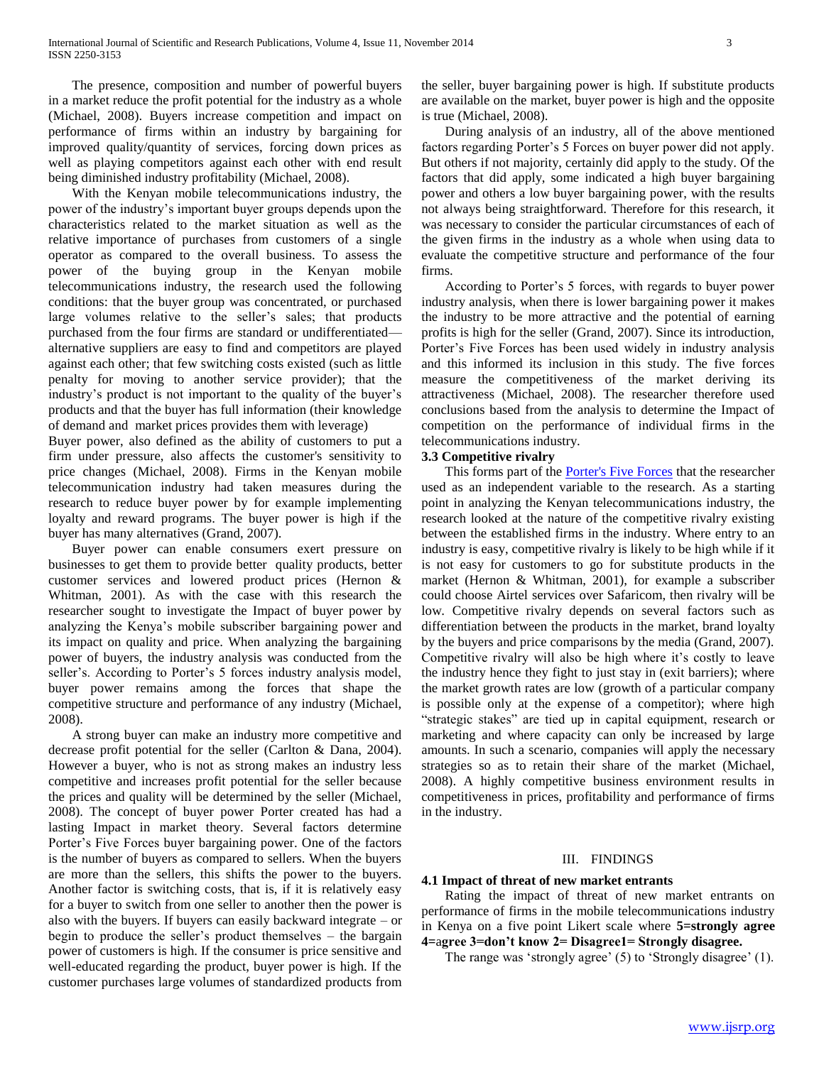The presence, composition and number of powerful buyers in a market reduce the profit potential for the industry as a whole (Michael, 2008). Buyers increase competition and impact on performance of firms within an industry by bargaining for improved quality/quantity of services, forcing down prices as well as playing competitors against each other with end result being diminished industry profitability (Michael, 2008).

 With the Kenyan mobile telecommunications industry, the power of the industry's important buyer groups depends upon the characteristics related to the market situation as well as the relative importance of purchases from customers of a single operator as compared to the overall business. To assess the power of the buying group in the Kenyan mobile telecommunications industry, the research used the following conditions: that the buyer group was concentrated, or purchased large volumes relative to the seller's sales; that products purchased from the four firms are standard or undifferentiated alternative suppliers are easy to find and competitors are played against each other; that few switching costs existed (such as little penalty for moving to another service provider); that the industry's product is not important to the quality of the buyer's products and that the buyer has full information (their knowledge of demand and market prices provides them with leverage)

Buyer power, also defined as the ability of customers to put a firm under pressure, also affects the customer's sensitivity to price changes (Michael, 2008). Firms in the Kenyan mobile telecommunication industry had taken measures during the research to reduce buyer power by for example implementing loyalty and reward programs. The buyer power is high if the buyer has many alternatives (Grand, 2007).

 Buyer power can enable consumers exert pressure on businesses to get them to provide better quality products, better customer services and lowered product prices (Hernon & Whitman, 2001). As with the case with this research the researcher sought to investigate the Impact of buyer power by analyzing the Kenya's mobile subscriber bargaining power and its impact on quality and price. When analyzing the bargaining power of buyers, the industry analysis was conducted from the seller's. According to Porter's 5 forces industry analysis model, buyer power remains among the forces that shape the competitive structure and performance of any industry (Michael, 2008).

 A strong buyer can make an industry more competitive and decrease profit potential for the seller (Carlton & Dana, 2004). However a buyer, who is not as strong makes an industry less competitive and increases profit potential for the seller because the prices and quality will be determined by the seller (Michael, 2008). The concept of buyer power Porter created has had a lasting Impact in market theory. Several factors determine Porter's Five Forces buyer bargaining power. One of the factors is the number of buyers as compared to sellers. When the buyers are more than the sellers, this shifts the power to the buyers. Another factor is switching costs, that is, if it is relatively easy for a buyer to switch from one seller to another then the power is also with the buyers. If buyers can easily backward integrate – or begin to produce the seller's product themselves – the bargain power of customers is high. If the consumer is price sensitive and well-educated regarding the product, buyer power is high. If the customer purchases large volumes of standardized products from the seller, buyer bargaining power is high. If substitute products are available on the market, buyer power is high and the opposite is true (Michael, 2008).

 During analysis of an industry, all of the above mentioned factors regarding Porter's 5 Forces on buyer power did not apply. But others if not majority, certainly did apply to the study. Of the factors that did apply, some indicated a high buyer bargaining power and others a low buyer bargaining power, with the results not always being straightforward. Therefore for this research, it was necessary to consider the particular circumstances of each of the given firms in the industry as a whole when using data to evaluate the competitive structure and performance of the four firms.

 According to Porter's 5 forces, with regards to buyer power industry analysis, when there is lower bargaining power it makes the industry to be more attractive and the potential of earning profits is high for the seller (Grand, 2007). Since its introduction, Porter's Five Forces has been used widely in industry analysis and this informed its inclusion in this study. The five forces measure the competitiveness of the market deriving its attractiveness (Michael, 2008). The researcher therefore used conclusions based from the analysis to determine the Impact of competition on the performance of individual firms in the telecommunications industry.

## **3.3 Competitive rivalry**

 This forms part of the [Porter's Five Forces](http://www.venturenavigator.co.uk/content/327/) that the researcher used as an independent variable to the research. As a starting point in analyzing the Kenyan telecommunications industry, the research looked at the nature of the competitive rivalry existing between the established firms in the industry. Where entry to an industry is easy, competitive rivalry is likely to be high while if it is not easy for customers to go for substitute products in the market (Hernon & Whitman, 2001), for example a subscriber could choose Airtel services over Safaricom, then rivalry will be low. Competitive rivalry depends on several factors such as differentiation between the products in the market, brand loyalty by the buyers and price comparisons by the media (Grand, 2007). Competitive rivalry will also be high where it's costly to leave the industry hence they fight to just stay in (exit barriers); where the market growth rates are low (growth of a particular company is possible only at the expense of a competitor); where high "strategic stakes" are tied up in capital equipment, research or marketing and where capacity can only be increased by large amounts. In such a scenario, companies will apply the necessary strategies so as to retain their share of the market (Michael, 2008). A highly competitive business environment results in competitiveness in prices, profitability and performance of firms in the industry.

#### III. FINDINGS

#### **4.1 Impact of threat of new market entrants**

 Rating the impact of threat of new market entrants on performance of firms in the mobile telecommunications industry in Kenya on a five point Likert scale where **5=strongly agree 4=**a**gree 3=don't know 2= Disagree1= Strongly disagree.**

The range was 'strongly agree' (5) to 'Strongly disagree' (1).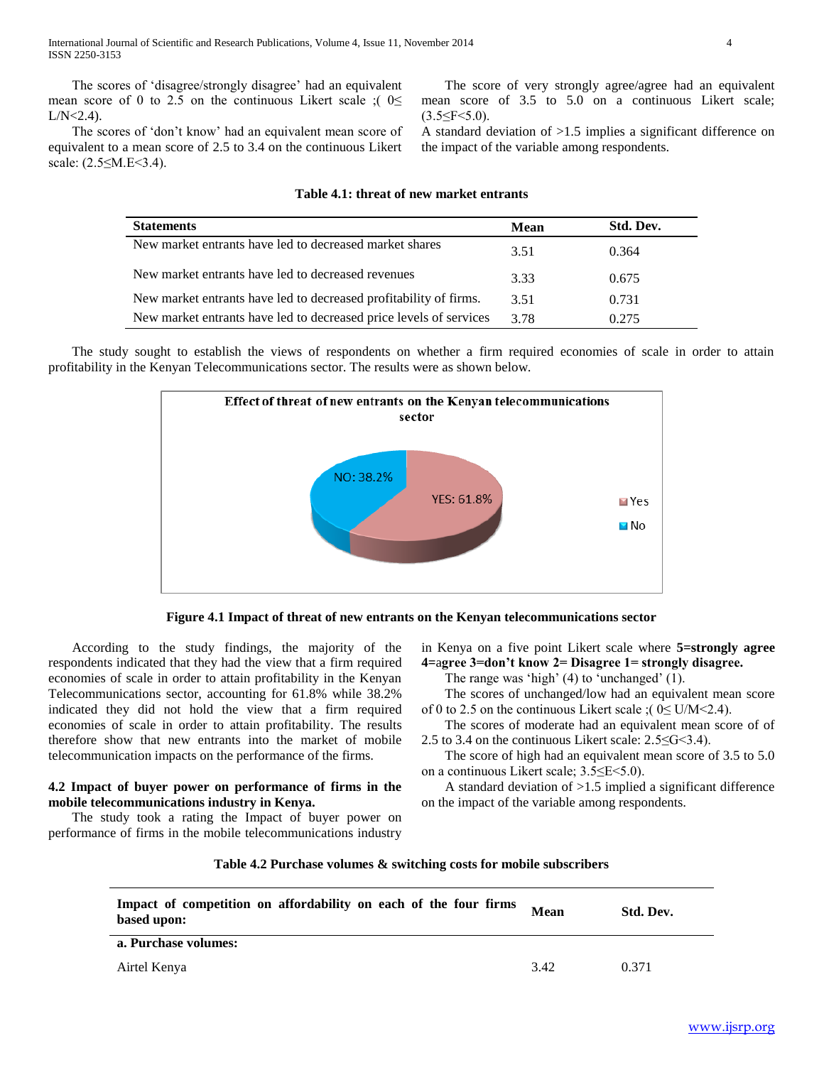The scores of 'disagree/strongly disagree' had an equivalent mean score of 0 to 2.5 on the continuous Likert scale ;  $\left( 0 \leq \right)$  $L/N < 2.4$ ).

The scores of 'don't know' had an equivalent mean score of equivalent to a mean score of 2.5 to 3.4 on the continuous Likert scale: (2.5≤M.E<3.4).

 The score of very strongly agree/agree had an equivalent mean score of 3.5 to 5.0 on a continuous Likert scale;  $(3.5 \leq F \leq 5.0)$ .

A standard deviation of >1.5 implies a significant difference on the impact of the variable among respondents.

| <b>Statements</b>                                                  | Mean | Std. Dev. |
|--------------------------------------------------------------------|------|-----------|
| New market entrants have led to decreased market shares            | 3.51 | 0.364     |
| New market entrants have led to decreased revenues                 | 3.33 | 0.675     |
| New market entrants have led to decreased profitability of firms.  | 3.51 | 0.731     |
| New market entrants have led to decreased price levels of services | 3.78 | 0.275     |

### **Table 4.1: threat of new market entrants**

 The study sought to establish the views of respondents on whether a firm required economies of scale in order to attain profitability in the Kenyan Telecommunications sector. The results were as shown below.





 According to the study findings, the majority of the respondents indicated that they had the view that a firm required economies of scale in order to attain profitability in the Kenyan Telecommunications sector, accounting for 61.8% while 38.2% indicated they did not hold the view that a firm required economies of scale in order to attain profitability. The results therefore show that new entrants into the market of mobile telecommunication impacts on the performance of the firms.

## **4.2 Impact of buyer power on performance of firms in the mobile telecommunications industry in Kenya.**

 The study took a rating the Impact of buyer power on performance of firms in the mobile telecommunications industry in Kenya on a five point Likert scale where **5=strongly agree 4=**a**gree 3=don't know 2= Disagree 1= strongly disagree.**

The range was 'high'  $(4)$  to 'unchanged'  $(1)$ .

 The scores of unchanged/low had an equivalent mean score of 0 to 2.5 on the continuous Likert scale ;( $0 \leq U/M \leq 2.4$ ).

 The scores of moderate had an equivalent mean score of of 2.5 to 3.4 on the continuous Likert scale: 2.5≤G<3.4).

 The score of high had an equivalent mean score of 3.5 to 5.0 on a continuous Likert scale; 3.5≤E<5.0).

 A standard deviation of >1.5 implied a significant difference on the impact of the variable among respondents.

## **Table 4.2 Purchase volumes & switching costs for mobile subscribers**

| Impact of competition on affordability on each of the four firms<br>based upon: | Mean | Std. Dev. |
|---------------------------------------------------------------------------------|------|-----------|
| a. Purchase volumes:                                                            |      |           |
| Airtel Kenya                                                                    | 3.42 | 0.371     |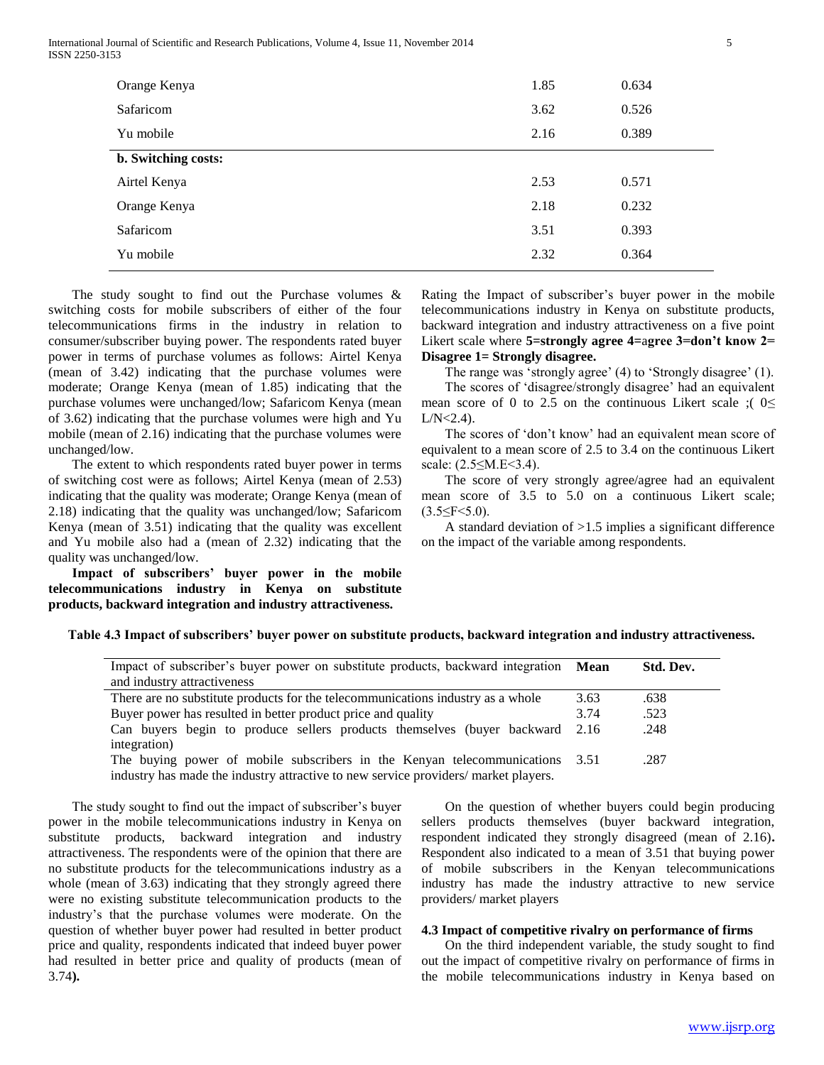International Journal of Scientific and Research Publications, Volume 4, Issue 11, November 2014 5 ISSN 2250-3153

| Orange Kenya               | 1.85 | 0.634 |
|----------------------------|------|-------|
| Safaricom                  | 3.62 | 0.526 |
| Yu mobile                  | 2.16 | 0.389 |
| <b>b.</b> Switching costs: |      |       |
| Airtel Kenya               | 2.53 | 0.571 |
| Orange Kenya               | 2.18 | 0.232 |
| Safaricom                  | 3.51 | 0.393 |
| Yu mobile                  | 2.32 | 0.364 |
|                            |      |       |

 The study sought to find out the Purchase volumes & switching costs for mobile subscribers of either of the four telecommunications firms in the industry in relation to consumer/subscriber buying power. The respondents rated buyer power in terms of purchase volumes as follows: Airtel Kenya (mean of 3.42) indicating that the purchase volumes were moderate; Orange Kenya (mean of 1.85) indicating that the purchase volumes were unchanged/low; Safaricom Kenya (mean of 3.62) indicating that the purchase volumes were high and Yu mobile (mean of 2.16) indicating that the purchase volumes were unchanged/low.

 The extent to which respondents rated buyer power in terms of switching cost were as follows; Airtel Kenya (mean of 2.53) indicating that the quality was moderate; Orange Kenya (mean of 2.18) indicating that the quality was unchanged/low; Safaricom Kenya (mean of 3.51) indicating that the quality was excellent and Yu mobile also had a (mean of 2.32) indicating that the quality was unchanged/low.

 **Impact of subscribers' buyer power in the mobile telecommunications industry in Kenya on substitute products, backward integration and industry attractiveness.**

Rating the Impact of subscriber's buyer power in the mobile telecommunications industry in Kenya on substitute products, backward integration and industry attractiveness on a five point Likert scale where **5=strongly agree 4=**a**gree 3=don't know 2= Disagree 1= Strongly disagree.**

The range was 'strongly agree' (4) to 'Strongly disagree' (1).

The scores of 'disagree/strongly disagree' had an equivalent mean score of 0 to 2.5 on the continuous Likert scale ;  $0 \le$  $L/N < 2.4$ ).

The scores of 'don't know' had an equivalent mean score of equivalent to a mean score of 2.5 to 3.4 on the continuous Likert scale: (2.5≤M.E<3.4).

 The score of very strongly agree/agree had an equivalent mean score of 3.5 to 5.0 on a continuous Likert scale;  $(3.5 \leq F \leq 5.0)$ .

 A standard deviation of >1.5 implies a significant difference on the impact of the variable among respondents.

| Table 4.3 Impact of subscribers' buyer power on substitute products, backward integration and industry attractiveness. |  |  |  |
|------------------------------------------------------------------------------------------------------------------------|--|--|--|
|                                                                                                                        |  |  |  |

| Impact of subscriber's buyer power on substitute products, backward integration     | Mean | Std. Dev. |
|-------------------------------------------------------------------------------------|------|-----------|
| and industry attractiveness                                                         |      |           |
| There are no substitute products for the telecommunications industry as a whole     | 3.63 | .638      |
| Buyer power has resulted in better product price and quality                        | 3.74 | .523      |
| Can buyers begin to produce sellers products themselves (buyer backward             | 2.16 | .248      |
| integration)                                                                        |      |           |
| The buying power of mobile subscribers in the Kenyan telecommunications             | 3.51 | .287      |
| industry has made the industry attractive to new service providers/ market players. |      |           |

 The study sought to find out the impact of subscriber's buyer power in the mobile telecommunications industry in Kenya on substitute products, backward integration and industry attractiveness. The respondents were of the opinion that there are no substitute products for the telecommunications industry as a whole (mean of 3.63) indicating that they strongly agreed there were no existing substitute telecommunication products to the industry's that the purchase volumes were moderate. On the question of whether buyer power had resulted in better product price and quality, respondents indicated that indeed buyer power had resulted in better price and quality of products (mean of 3.74**).** 

 On the question of whether buyers could begin producing sellers products themselves (buyer backward integration, respondent indicated they strongly disagreed (mean of 2.16)**.**  Respondent also indicated to a mean of 3.51 that buying power of mobile subscribers in the Kenyan telecommunications industry has made the industry attractive to new service providers/ market players

## **4.3 Impact of competitive rivalry on performance of firms**

 On the third independent variable, the study sought to find out the impact of competitive rivalry on performance of firms in the mobile telecommunications industry in Kenya based on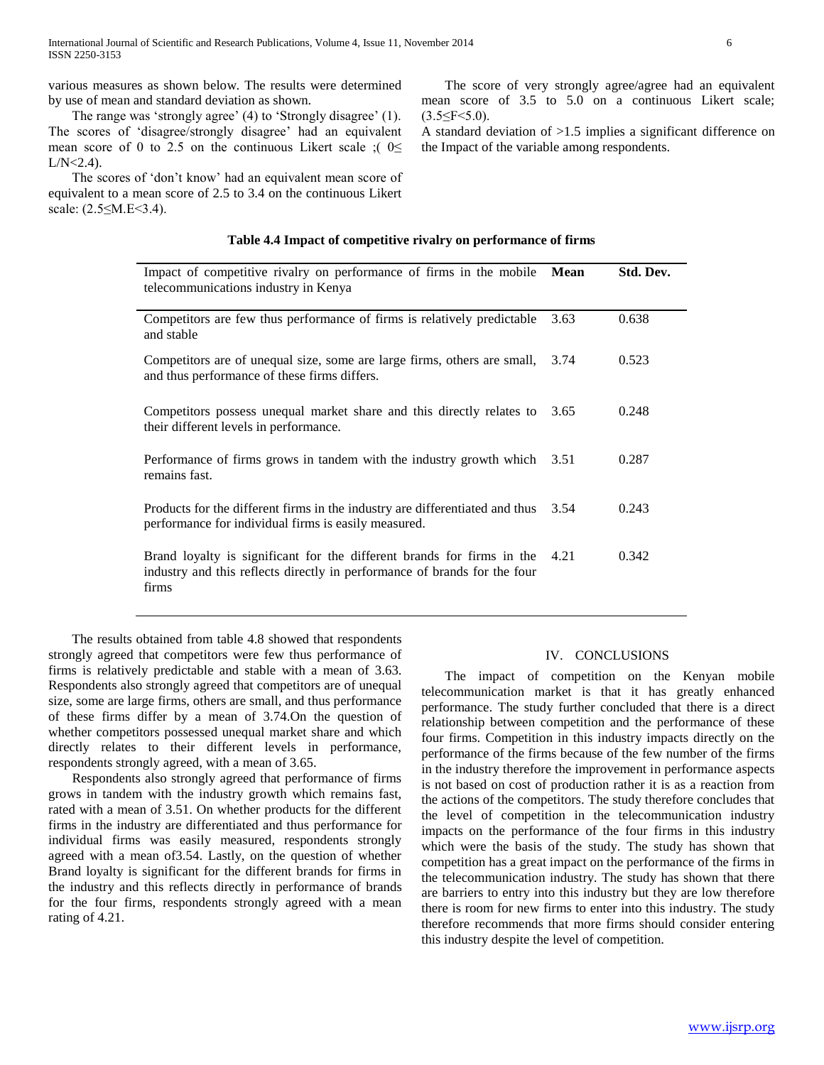various measures as shown below. The results were determined by use of mean and standard deviation as shown.

The range was 'strongly agree' (4) to 'Strongly disagree' (1). The scores of ‗disagree/strongly disagree' had an equivalent mean score of 0 to 2.5 on the continuous Likert scale ;  $0 \le$  $L/N < 2.4$ ).

The scores of 'don't know' had an equivalent mean score of equivalent to a mean score of 2.5 to 3.4 on the continuous Likert scale: (2.5≤M.E<3.4).

 The score of very strongly agree/agree had an equivalent mean score of 3.5 to 5.0 on a continuous Likert scale;  $(3.5 \leq F \leq 5.0)$ .

A standard deviation of >1.5 implies a significant difference on the Impact of the variable among respondents.

## **Table 4.4 Impact of competitive rivalry on performance of firms**

| Impact of competitive rivalry on performance of firms in the mobile<br>telecommunications industry in Kenya                                                  | <b>Mean</b> | Std. Dev. |
|--------------------------------------------------------------------------------------------------------------------------------------------------------------|-------------|-----------|
| Competitors are few thus performance of firms is relatively predictable<br>and stable                                                                        | 3.63        | 0.638     |
| Competitors are of unequal size, some are large firms, others are small,<br>and thus performance of these firms differs.                                     | 3.74        | 0.523     |
| Competitors possess unequal market share and this directly relates to<br>their different levels in performance.                                              | 3.65        | 0.248     |
| Performance of firms grows in tandem with the industry growth which 3.51<br>remains fast.                                                                    |             | 0.287     |
| Products for the different firms in the industry are differentiated and thus<br>performance for individual firms is easily measured.                         | 3.54        | 0.243     |
| Brand loyalty is significant for the different brands for firms in the<br>industry and this reflects directly in performance of brands for the four<br>firms | 4.21        | 0.342     |

 The results obtained from table 4.8 showed that respondents strongly agreed that competitors were few thus performance of firms is relatively predictable and stable with a mean of 3.63. Respondents also strongly agreed that competitors are of unequal size, some are large firms, others are small, and thus performance of these firms differ by a mean of 3.74.On the question of whether competitors possessed unequal market share and which directly relates to their different levels in performance, respondents strongly agreed, with a mean of 3.65.

 Respondents also strongly agreed that performance of firms grows in tandem with the industry growth which remains fast, rated with a mean of 3.51. On whether products for the different firms in the industry are differentiated and thus performance for individual firms was easily measured, respondents strongly agreed with a mean of3.54. Lastly, on the question of whether Brand loyalty is significant for the different brands for firms in the industry and this reflects directly in performance of brands for the four firms, respondents strongly agreed with a mean rating of 4.21.

#### IV. CONCLUSIONS

 The impact of competition on the Kenyan mobile telecommunication market is that it has greatly enhanced performance. The study further concluded that there is a direct relationship between competition and the performance of these four firms. Competition in this industry impacts directly on the performance of the firms because of the few number of the firms in the industry therefore the improvement in performance aspects is not based on cost of production rather it is as a reaction from the actions of the competitors. The study therefore concludes that the level of competition in the telecommunication industry impacts on the performance of the four firms in this industry which were the basis of the study. The study has shown that competition has a great impact on the performance of the firms in the telecommunication industry. The study has shown that there are barriers to entry into this industry but they are low therefore there is room for new firms to enter into this industry. The study therefore recommends that more firms should consider entering this industry despite the level of competition.